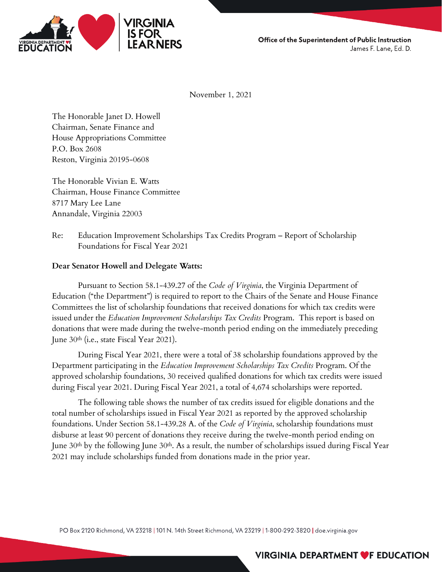

Office of the Superintendent of Public Instruction James F. Lane, Ed. D.

November 1, 2021

The Honorable Janet D. Howell Chairman, Senate Finance and House Appropriations Committee P.O. Box 2608 Reston, Virginia 20195-0608

The Honorable Vivian E. Watts Chairman, House Finance Committee 8717 Mary Lee Lane Annandale, Virginia 22003

Re: Education Improvement Scholarships Tax Credits Program – Report of Scholarship Foundations for Fiscal Year 2021

## **Dear Senator Howell and Delegate Watts:**

Pursuant to Section 58.1-439.27 of the *Code of Virginia*, the Virginia Department of Education ("the Department") is required to report to the Chairs of the Senate and House Finance Committees the list of scholarship foundations that received donations for which tax credits were issued under the *Education Improvement Scholarships Tax Credits* Program. This report is based on donations that were made during the twelve-month period ending on the immediately preceding June 30th (i.e., state Fiscal Year 2021).

During Fiscal Year 2021, there were a total of 38 scholarship foundations approved by the Department participating in the *Education Improvement Scholarships Tax Credits* Program. Of the approved scholarship foundations, 30 received qualified donations for which tax credits were issued during Fiscal year 2021. During Fiscal Year 2021, a total of 4,674 scholarships were reported.

The following table shows the number of tax credits issued for eligible donations and the total number of scholarships issued in Fiscal Year 2021 as reported by the approved scholarship foundations. Under Section 58.1-439.28 A. of the *Code of Virginia*, scholarship foundations must disburse at least 90 percent of donations they receive during the twelve-month period ending on June 30th by the following June 30th. As a result, the number of scholarships issued during Fiscal Year 2021 may include scholarships funded from donations made in the prior year.

PO Box 2120 Richmond, VA 23218 | 101 N. 14th Street Richmond, VA 23219 | 1-800-292-3820 | doe.virginia.gov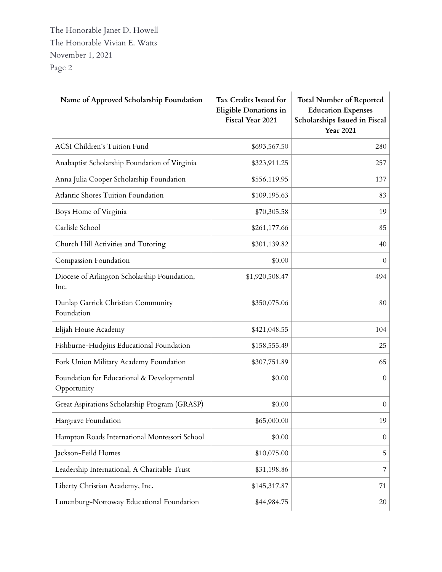The Honorable Janet D. Howell The Honorable Vivian E. Watts November 1, 2021 Page 2

| Name of Approved Scholarship Foundation                   | Tax Credits Issued for<br>Eligible Donations in<br>Fiscal Year 2021 | <b>Total Number of Reported</b><br><b>Education Expenses</b><br>Scholarships Issued in Fiscal<br><b>Year 2021</b> |
|-----------------------------------------------------------|---------------------------------------------------------------------|-------------------------------------------------------------------------------------------------------------------|
| <b>ACSI Children's Tuition Fund</b>                       | \$693,567.50                                                        | 280                                                                                                               |
| Anabaptist Scholarship Foundation of Virginia             | \$323,911.25                                                        | 257                                                                                                               |
| Anna Julia Cooper Scholarship Foundation                  | \$556,119.95                                                        | 137                                                                                                               |
| Atlantic Shores Tuition Foundation                        | \$109,195.63                                                        | 83                                                                                                                |
| Boys Home of Virginia                                     | \$70,305.58                                                         | 19                                                                                                                |
| Carlisle School                                           | \$261,177.66                                                        | 85                                                                                                                |
| Church Hill Activities and Tutoring                       | \$301,139.82                                                        | 40                                                                                                                |
| Compassion Foundation                                     | \$0.00                                                              | $\overline{0}$                                                                                                    |
| Diocese of Arlington Scholarship Foundation,<br>Inc.      | \$1,920,508.47                                                      | 494                                                                                                               |
| Dunlap Garrick Christian Community<br>Foundation          | \$350,075.06                                                        | 80                                                                                                                |
| Elijah House Academy                                      | \$421,048.55                                                        | 104                                                                                                               |
| Fishburne-Hudgins Educational Foundation                  | \$158,555.49                                                        | 25                                                                                                                |
| Fork Union Military Academy Foundation                    | \$307,751.89                                                        | 65                                                                                                                |
| Foundation for Educational & Developmental<br>Opportunity | \$0.00                                                              | $\overline{0}$                                                                                                    |
| Great Aspirations Scholarship Program (GRASP)             | \$0.00                                                              | $\boldsymbol{0}$                                                                                                  |
| Hargrave Foundation                                       | \$65,000.00                                                         | 19                                                                                                                |
| Hampton Roads International Montessori School             | \$0.00                                                              | $\theta$                                                                                                          |
| Jackson-Feild Homes                                       | \$10,075.00                                                         | 5                                                                                                                 |
| Leadership International, A Charitable Trust              | \$31,198.86                                                         | 7                                                                                                                 |
| Liberty Christian Academy, Inc.                           | \$145,317.87                                                        | 71                                                                                                                |
| Lunenburg-Nottoway Educational Foundation                 | \$44,984.75                                                         | 20                                                                                                                |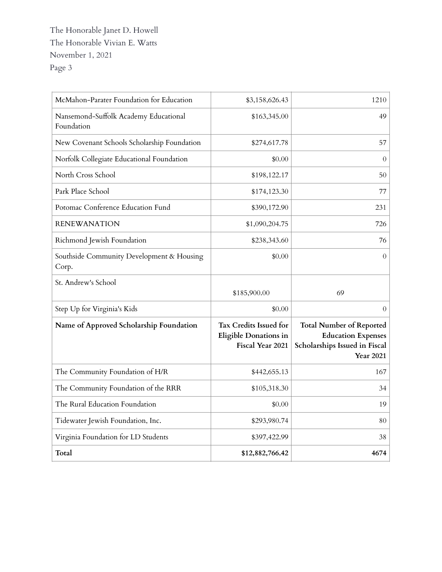The Honorable Janet D. Howell The Honorable Vivian E. Watts November 1, 2021 Page 3

| McMahon-Parater Foundation for Education            | \$3,158,626.43                                                      | 1210                                                                                                              |
|-----------------------------------------------------|---------------------------------------------------------------------|-------------------------------------------------------------------------------------------------------------------|
| Nansemond-Suffolk Academy Educational<br>Foundation | \$163,345.00                                                        | 49                                                                                                                |
| New Covenant Schools Scholarship Foundation         | \$274,617.78                                                        | 57                                                                                                                |
| Norfolk Collegiate Educational Foundation           | \$0.00                                                              | $\overline{0}$                                                                                                    |
| North Cross School                                  | \$198,122.17                                                        | 50                                                                                                                |
| Park Place School                                   | \$174,123.30                                                        | 77                                                                                                                |
| Potomac Conference Education Fund                   | \$390,172.90                                                        | 231                                                                                                               |
| <b>RENEWANATION</b>                                 | \$1,090,204.75                                                      | 726                                                                                                               |
| Richmond Jewish Foundation                          | \$238,343.60                                                        | 76                                                                                                                |
| Southside Community Development & Housing<br>Corp.  | \$0.00                                                              | $\theta$                                                                                                          |
| St. Andrew's School                                 | \$185,900.00                                                        | 69                                                                                                                |
| Step Up for Virginia's Kids                         | \$0.00                                                              | $\overline{0}$                                                                                                    |
| Name of Approved Scholarship Foundation             | Tax Credits Issued for<br>Eligible Donations in<br>Fiscal Year 2021 | <b>Total Number of Reported</b><br><b>Education Expenses</b><br>Scholarships Issued in Fiscal<br><b>Year 2021</b> |
| The Community Foundation of H/R                     | \$442,655.13                                                        | 167                                                                                                               |
|                                                     |                                                                     |                                                                                                                   |
| The Community Foundation of the RRR                 | \$105,318.30                                                        | 34                                                                                                                |
| The Rural Education Foundation                      | \$0.00                                                              | 19                                                                                                                |
| Tidewater Jewish Foundation, Inc.                   | \$293,980.74                                                        | 80                                                                                                                |
| Virginia Foundation for LD Students                 | \$397,422.99                                                        | 38                                                                                                                |